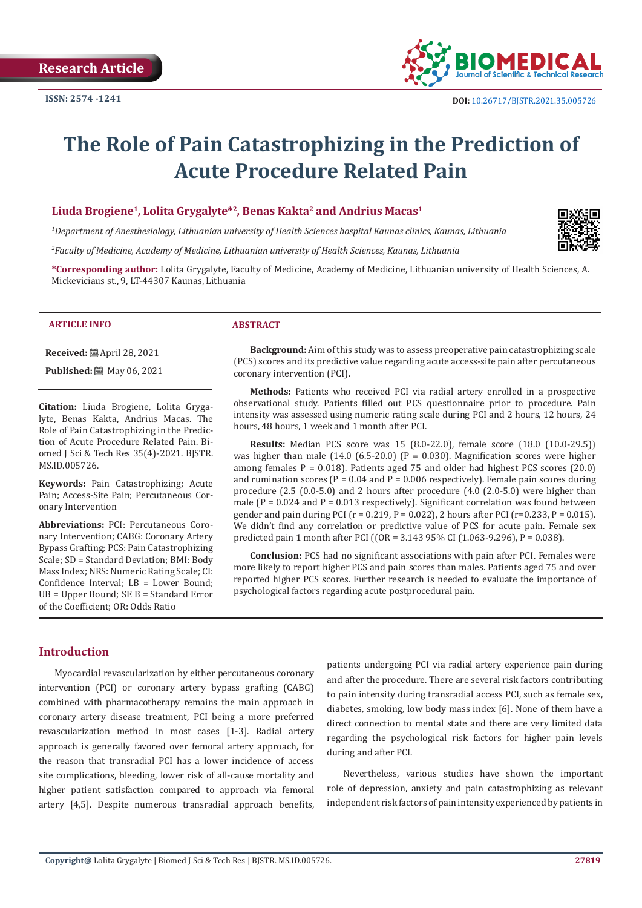

# **The Role of Pain Catastrophizing in the Prediction of Acute Procedure Related Pain**

#### Liuda Brogiene<sup>1</sup>, Lolita Grygalyte<sup>\*2</sup>, Benas Kakta<sup>2</sup> and Andrius Macas<sup>1</sup>

*1 Department of Anesthesiology, Lithuanian university of Health Sciences hospital Kaunas clinics, Kaunas, Lithuania* 

*2 Faculty of Medicine, Academy of Medicine, Lithuanian university of Health Sciences, Kaunas, Lithuania*

**\*Corresponding author:** Lolita Grygalyte, Faculty of Medicine, Academy of Medicine, Lithuanian university of Health Sciences, A. Mickeviciaus st., 9, LT-44307 Kaunas, Lithuania

#### **ARTICLE INFO ABSTRACT**

**Received:** April 28, 2021

**Published:** 圖 May 06, 2021

**Citation:** Liuda Brogiene, Lolita Grygalyte, Benas Kakta, Andrius Macas. The Role of Pain Catastrophizing in the Prediction of Acute Procedure Related Pain. Biomed J Sci & Tech Res 35(4)-2021. BJSTR. MS.ID.005726.

**Keywords:** Pain Catastrophizing; Acute Pain; Access-Site Pain; Percutaneous Coronary Intervention

**Abbreviations:** PCI: Percutaneous Coronary Intervention; CABG: Coronary Artery Bypass Grafting; PCS: Pain Catastrophizing Scale; SD = Standard Deviation; BMI: Body Mass Index; NRS: Numeric Rating Scale; CI: Confidence Interval; LB = Lower Bound; UB = Upper Bound; SE B = Standard Error of the Coefficient; OR: Odds Ratio

**Background:** Aim of this study was to assess preoperative pain catastrophizing scale (PCS) scores and its predictive value regarding acute access-site pain after percutaneous coronary intervention (PCI).

**Methods:** Patients who received PCI via radial artery enrolled in a prospective observational study. Patients filled out PCS questionnaire prior to procedure. Pain intensity was assessed using numeric rating scale during PCI and 2 hours, 12 hours, 24 hours, 48 hours, 1 week and 1 month after PCI.

**Results:** Median PCS score was 15 (8.0-22.0), female score (18.0 (10.0-29.5)) was higher than male  $(14.0 \text{ } (6.5-20.0) \text{ } (P = 0.030)$ . Magnification scores were higher among females  $P = 0.018$ ). Patients aged 75 and older had highest PCS scores (20.0) and rumination scores ( $P = 0.04$  and  $P = 0.006$  respectively). Female pain scores during procedure (2.5 (0.0-5.0) and 2 hours after procedure (4.0 (2.0-5.0) were higher than male ( $P = 0.024$  and  $P = 0.013$  respectively). Significant correlation was found between gender and pain during PCI ( $r = 0.219$ ,  $P = 0.022$ ), 2 hours after PCI ( $r = 0.233$ ,  $P = 0.015$ ). We didn't find any correlation or predictive value of PCS for acute pain. Female sex predicted pain 1 month after PCI ((OR = 3.143 95% CI (1.063-9.296), P = 0.038).

**Conclusion:** PCS had no significant associations with pain after PCI. Females were more likely to report higher PCS and pain scores than males. Patients aged 75 and over reported higher PCS scores. Further research is needed to evaluate the importance of psychological factors regarding acute postprocedural pain.

#### **Introduction**

Myocardial revascularization by either percutaneous coronary intervention (PCI) or coronary artery bypass grafting (CABG) combined with pharmacotherapy remains the main approach in coronary artery disease treatment, PCI being a more preferred revascularization method in most cases [1-3]. Radial artery approach is generally favored over femoral artery approach, for the reason that transradial PCI has a lower incidence of access site complications, bleeding, lower risk of all-cause mortality and higher patient satisfaction compared to approach via femoral artery [4,5]. Despite numerous transradial approach benefits,

patients undergoing PCI via radial artery experience pain during and after the procedure. There are several risk factors contributing to pain intensity during transradial access PCI, such as female sex, diabetes, smoking, low body mass index [6]. None of them have a direct connection to mental state and there are very limited data regarding the psychological risk factors for higher pain levels during and after PCI.

Nevertheless, various studies have shown the important role of depression, anxiety and pain catastrophizing as relevant independent risk factors of pain intensity experienced by patients in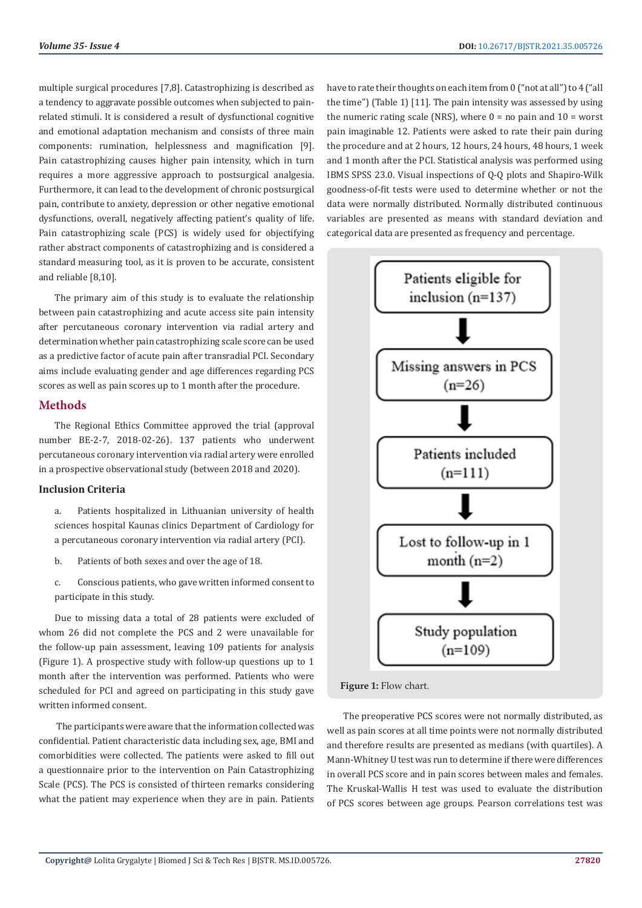multiple surgical procedures [7,8]. Catastrophizing is described as a tendency to aggravate possible outcomes when subjected to painrelated stimuli. It is considered a result of dysfunctional cognitive and emotional adaptation mechanism and consists of three main components: rumination, helplessness and magnification [9]. Pain catastrophizing causes higher pain intensity, which in turn requires a more aggressive approach to postsurgical analgesia. Furthermore, it can lead to the development of chronic postsurgical pain, contribute to anxiety, depression or other negative emotional dysfunctions, overall, negatively affecting patient's quality of life. Pain catastrophizing scale (PCS) is widely used for objectifying rather abstract components of catastrophizing and is considered a standard measuring tool, as it is proven to be accurate, consistent and reliable [8,10].

The primary aim of this study is to evaluate the relationship between pain catastrophizing and acute access site pain intensity after percutaneous coronary intervention via radial artery and determination whether pain catastrophizing scale score can be used as a predictive factor of acute pain after transradial PCI. Secondary aims include evaluating gender and age differences regarding PCS scores as well as pain scores up to 1 month after the procedure.

#### **Methods**

The Regional Ethics Committee approved the trial (approval number BE-2-7, 2018-02-26). 137 patients who underwent percutaneous coronary intervention via radial artery were enrolled in a prospective observational study (between 2018 and 2020).

#### **Inclusion Criteria**

- a. Patients hospitalized in Lithuanian university of health sciences hospital Kaunas clinics Department of Cardiology for a percutaneous coronary intervention via radial artery (PCI).
- b. Patients of both sexes and over the age of 18.
- c. Conscious patients, who gave written informed consent to participate in this study.

Due to missing data a total of 28 patients were excluded of whom 26 did not complete the PCS and 2 were unavailable for the follow-up pain assessment, leaving 109 patients for analysis (Figure 1). A prospective study with follow-up questions up to 1 month after the intervention was performed. Patients who were scheduled for PCI and agreed on participating in this study gave written informed consent.

 The participants were aware that the information collected was confidential. Patient characteristic data including sex, age, BMI and comorbidities were collected. The patients were asked to fill out a questionnaire prior to the intervention on Pain Catastrophizing Scale (PCS). The PCS is consisted of thirteen remarks considering what the patient may experience when they are in pain. Patients

have to rate their thoughts on each item from 0 ("not at all") to 4 ("all the time") (Table 1) [11]. The pain intensity was assessed by using the numeric rating scale (NRS), where  $0 =$  no pain and  $10 =$  worst pain imaginable 12. Patients were asked to rate their pain during the procedure and at 2 hours, 12 hours, 24 hours, 48 hours, 1 week and 1 month after the PCI. Statistical analysis was performed using IBMS SPSS 23.0. Visual inspections of Q-Q plots and Shapiro-Wilk goodness‐of‐fit tests were used to determine whether or not the data were normally distributed. Normally distributed continuous variables are presented as means with standard deviation and categorical data are presented as frequency and percentage.



**Figure 1:** Flow chart.

The preoperative PCS scores were not normally distributed, as well as pain scores at all time points were not normally distributed and therefore results are presented as medians (with quartiles). A Mann-Whitney U test was run to determine if there were differences in overall PCS score and in pain scores between males and females. The Kruskal-Wallis H test was used to evaluate the distribution of PCS scores between age groups. Pearson correlations test was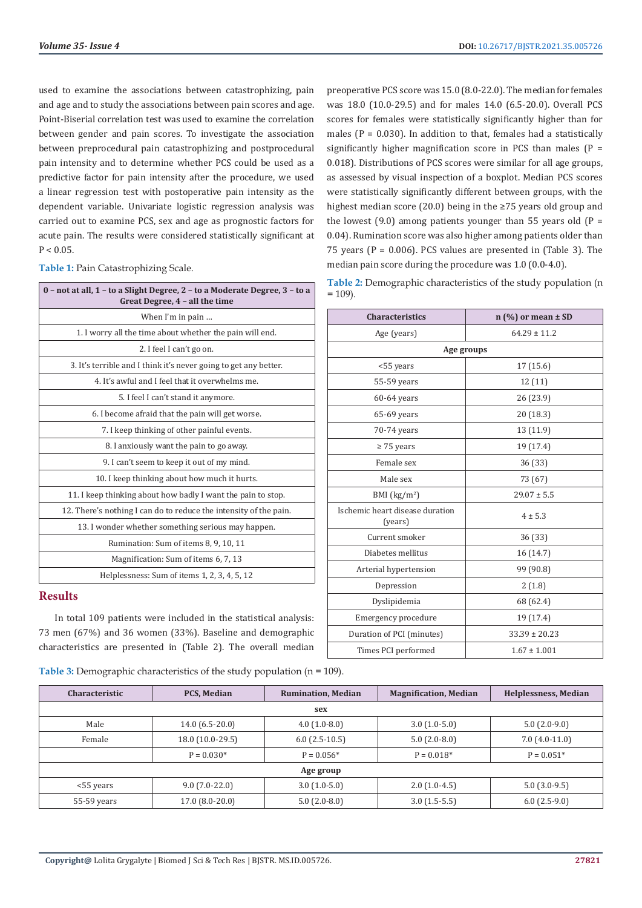used to examine the associations between catastrophizing, pain and age and to study the associations between pain scores and age. Point-Biserial correlation test was used to examine the correlation between gender and pain scores. To investigate the association between preprocedural pain catastrophizing and postprocedural pain intensity and to determine whether PCS could be used as a predictive factor for pain intensity after the procedure, we used a linear regression test with postoperative pain intensity as the dependent variable. Univariate logistic regression analysis was carried out to examine PCS, sex and age as prognostic factors for acute pain. The results were considered statistically significant at  $P < 0.05$ .

**Table 1:** Pain Catastrophizing Scale.

| 0 - not at all, 1 - to a Slight Degree, 2 - to a Moderate Degree, 3 - to a<br>Great Degree, 4 - all the time |
|--------------------------------------------------------------------------------------------------------------|
| When I'm in pain                                                                                             |
| 1. I worry all the time about whether the pain will end.                                                     |
| 2. I feel I can't go on.                                                                                     |
| 3. It's terrible and I think it's never going to get any better.                                             |
| 4. It's awful and I feel that it overwhelms me.                                                              |
| 5. I feel I can't stand it anymore.                                                                          |
| 6. I become afraid that the pain will get worse.                                                             |
| 7. I keep thinking of other painful events.                                                                  |
| 8. I anxiously want the pain to go away.                                                                     |
| 9. I can't seem to keep it out of my mind.                                                                   |
| 10. I keep thinking about how much it hurts.                                                                 |
| 11. I keep thinking about how badly I want the pain to stop.                                                 |
| 12. There's nothing I can do to reduce the intensity of the pain.                                            |
| 13. I wonder whether something serious may happen.                                                           |
| Rumination: Sum of items 8, 9, 10, 11                                                                        |
| Magnification: Sum of items 6, 7, 13                                                                         |
| Helplessness: Sum of items 1, 2, 3, 4, 5, 12                                                                 |

#### **Results**

In total 109 patients were included in the statistical analysis: 73 men (67%) and 36 women (33%). Baseline and demographic characteristics are presented in (Table 2). The overall median

**Table 3:** Demographic characteristics of the study population (n = 109).

preoperative PCS score was 15.0 (8.0-22.0). The median for females was 18.0 (10.0-29.5) and for males 14.0 (6.5-20.0). Overall PCS scores for females were statistically significantly higher than for males  $(P = 0.030)$ . In addition to that, females had a statistically significantly higher magnification score in PCS than males ( $P =$ 0.018). Distributions of PCS scores were similar for all age groups, as assessed by visual inspection of a boxplot. Median PCS scores were statistically significantly different between groups, with the highest median score (20.0) being in the ≥75 years old group and the lowest (9.0) among patients younger than 55 years old  $(P =$ 0.04). Rumination score was also higher among patients older than 75 years ( $P = 0.006$ ). PCS values are presented in (Table 3). The median pain score during the procedure was 1.0 (0.0-4.0).

| Table 2: Demographic characteristics of the study population (n |  |  |
|-----------------------------------------------------------------|--|--|
| $= 109$ ).                                                      |  |  |

| <b>Characteristics</b>                     | $n$ (%) or mean $\pm$ SD |  |  |  |
|--------------------------------------------|--------------------------|--|--|--|
| Age (years)                                | $64.29 \pm 11.2$         |  |  |  |
|                                            | Age groups               |  |  |  |
| <55 years                                  | 17(15.6)                 |  |  |  |
| 55-59 years                                | 12(11)                   |  |  |  |
| $60-64$ years                              | 26 (23.9)                |  |  |  |
| 65-69 years                                | 20 (18.3)                |  |  |  |
| 70-74 years                                | 13 (11.9)                |  |  |  |
| $\geq$ 75 years                            | 19 (17.4)                |  |  |  |
| Female sex                                 | 36 (33)                  |  |  |  |
| Male sex                                   | 73 (67)                  |  |  |  |
| BMI $(kg/m2)$                              | $29.07 \pm 5.5$          |  |  |  |
| Ischemic heart disease duration<br>(years) | $4 \pm 5.3$              |  |  |  |
| Current smoker                             | 36 (33)                  |  |  |  |
| Diabetes mellitus                          | 16 (14.7)                |  |  |  |
| Arterial hypertension                      | 99 (90.8)                |  |  |  |
| Depression                                 | 2(1.8)                   |  |  |  |
| Dyslipidemia                               | 68 (62.4)                |  |  |  |
| Emergency procedure                        | 19 (17.4)                |  |  |  |
| Duration of PCI (minutes)                  | $33.39 \pm 20.23$        |  |  |  |
| Times PCI performed                        | $1.67 \pm 1.001$         |  |  |  |

| <b>Characteristic</b> | <b>PCS, Median</b> | <b>Rumination, Median</b> | <b>Magnification, Median</b> | <b>Helplessness, Median</b> |  |  |  |
|-----------------------|--------------------|---------------------------|------------------------------|-----------------------------|--|--|--|
|                       |                    | sex                       |                              |                             |  |  |  |
| Male                  | $14.0(6.5-20.0)$   | $4.0(1.0-8.0)$            | $3.0(1.0-5.0)$               | $5.0(2.0-9.0)$              |  |  |  |
| Female                | 18.0 (10.0-29.5)   | $6.0(2.5-10.5)$           | $5.0(2.0-8.0)$               | $7.0(4.0-11.0)$             |  |  |  |
|                       | $P = 0.030*$       | $P = 0.056*$              | $P = 0.018*$                 | $P = 0.051*$                |  |  |  |
|                       | Age group          |                           |                              |                             |  |  |  |
| <55 years             | $9.0(7.0-22.0)$    | $3.0(1.0-5.0)$            | $2.0(1.0-4.5)$               | $5.0(3.0-9.5)$              |  |  |  |
| $55-59$ years         | 17.0 (8.0-20.0)    | $5.0(2.0-8.0)$            | $3.0(1.5-5.5)$               | $6.0(2.5-9.0)$              |  |  |  |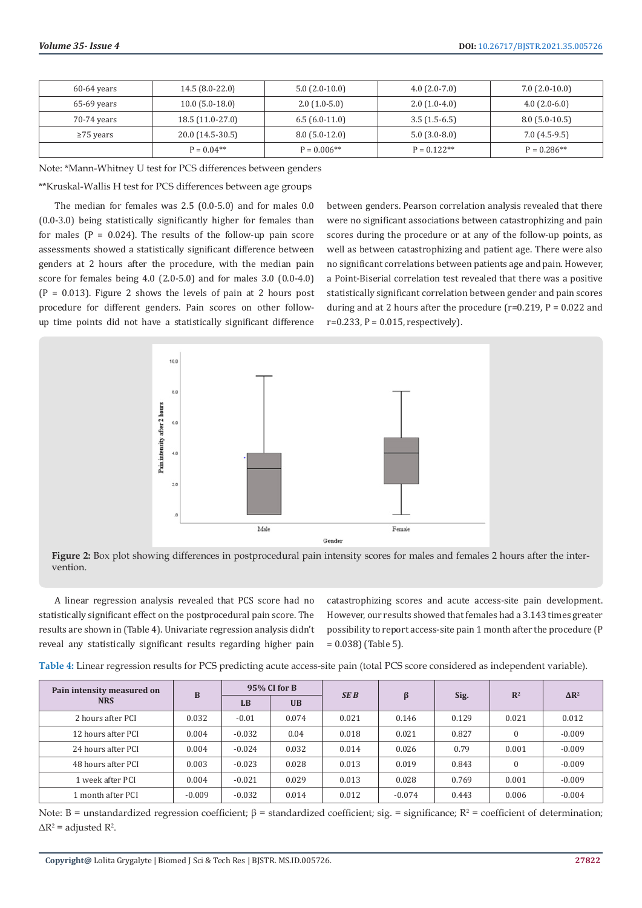| 60-64 years     | $14.5(8.0-22.0)$  | $5.0(2.0-10.0)$ | $4.0(2.0-7.0)$ | $7.0(2.0-10.0)$ |
|-----------------|-------------------|-----------------|----------------|-----------------|
| 65-69 years     | $10.0(5.0-18.0)$  | $2.0(1.0-5.0)$  | $2.0(1.0-4.0)$ | $4.0(2.0-6.0)$  |
| 70-74 years     | $18.5(11.0-27.0)$ | $6.5(6.0-11.0)$ | $3.5(1.5-6.5)$ | $8.0(5.0-10.5)$ |
| $\geq$ 75 years | 20.0 (14.5-30.5)  | $8.0(5.0-12.0)$ | $5.0(3.0-8.0)$ | $7.0(4.5-9.5)$  |
|                 | $P = 0.04**$      | $P = 0.006**$   | $P = 0.122**$  | $P = 0.286**$   |

Note: \*Mann-Whitney U test for PCS differences between genders

\*\*Kruskal-Wallis H test for PCS differences between age groups

The median for females was 2.5 (0.0-5.0) and for males 0.0 (0.0-3.0) being statistically significantly higher for females than for males  $(P = 0.024)$ . The results of the follow-up pain score assessments showed a statistically significant difference between genders at 2 hours after the procedure, with the median pain score for females being 4.0 (2.0-5.0) and for males 3.0 (0.0-4.0)  $(P = 0.013)$ . Figure 2 shows the levels of pain at 2 hours post procedure for different genders. Pain scores on other followup time points did not have a statistically significant difference

between genders. Pearson correlation analysis revealed that there were no significant associations between catastrophizing and pain scores during the procedure or at any of the follow-up points, as well as between catastrophizing and patient age. There were also no significant correlations between patients age and pain. However, a Point-Biserial correlation test revealed that there was a positive statistically significant correlation between gender and pain scores during and at 2 hours after the procedure ( $r=0.219$ ,  $P = 0.022$  and  $r=0.233$ ,  $P = 0.015$ , respectively).





A linear regression analysis revealed that PCS score had no statistically significant effect on the postprocedural pain score. The results are shown in (Table 4). Univariate regression analysis didn't reveal any statistically significant results regarding higher pain

catastrophizing scores and acute access-site pain development. However, our results showed that females had a 3.143 times greater possibility to report access-site pain 1 month after the procedure (P = 0.038) (Table 5).

| Pain intensity measured on | B        | 95% CI for B |           | <b>SEB</b> |          |       | $\mathbb{R}^2$ | $\Delta$ R <sup>2</sup> |
|----------------------------|----------|--------------|-----------|------------|----------|-------|----------------|-------------------------|
| <b>NRS</b>                 |          | LB           | <b>UB</b> |            | ß        | Sig.  |                |                         |
| 2 hours after PCI          | 0.032    | $-0.01$      | 0.074     | 0.021      | 0.146    | 0.129 | 0.021          | 0.012                   |
| 12 hours after PCI         | 0.004    | $-0.032$     | 0.04      | 0.018      | 0.021    | 0.827 | $\Omega$       | $-0.009$                |
| 24 hours after PCI         | 0.004    | $-0.024$     | 0.032     | 0.014      | 0.026    | 0.79  | 0.001          | $-0.009$                |
| 48 hours after PCI         | 0.003    | $-0.023$     | 0.028     | 0.013      | 0.019    | 0.843 | $\Omega$       | $-0.009$                |
| 1 week after PCI           | 0.004    | $-0.021$     | 0.029     | 0.013      | 0.028    | 0.769 | 0.001          | $-0.009$                |
| 1 month after PCI          | $-0.009$ | $-0.032$     | 0.014     | 0.012      | $-0.074$ | 0.443 | 0.006          | $-0.004$                |

**Table 4:** Linear regression results for PCS predicting acute access-site pain (total PCS score considered as independent variable).

Note: B = unstandardized regression coefficient;  $β$  = standardized coefficient; sig. = significance;  $R^2$  = coefficient of determination;  $\Delta R^2$  = adjusted R<sup>2</sup>.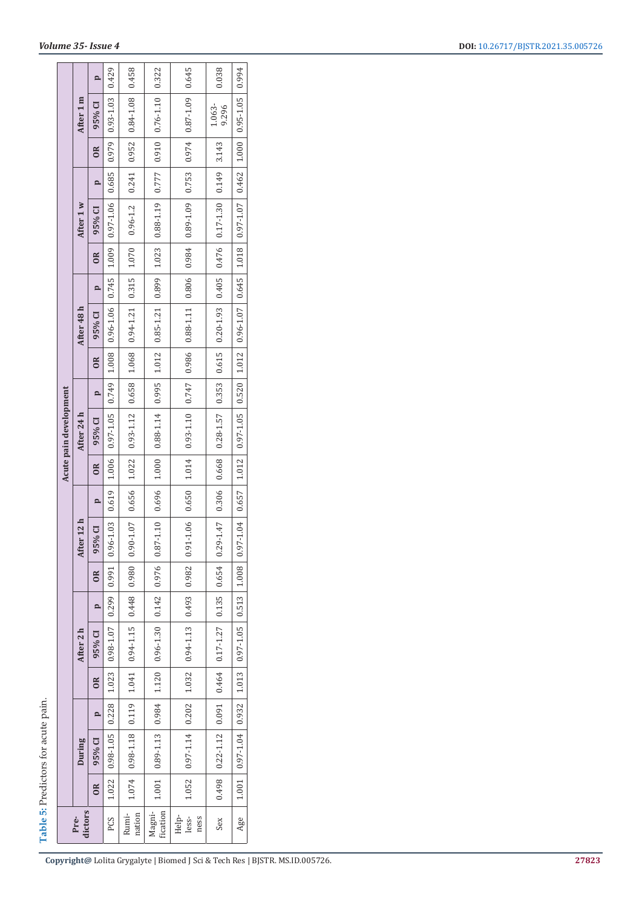| ble 5: Predictors for acute pain. |
|-----------------------------------|
|                                   |
|                                   |

|                                      |            | p                     | 0.429           | 0.458                                                                          | 0.322                                           | 0.645                       | 0.038                               | 0.994                                           |
|--------------------------------------|------------|-----------------------|-----------------|--------------------------------------------------------------------------------|-------------------------------------------------|-----------------------------|-------------------------------------|-------------------------------------------------|
|                                      | After 1 m  | 95% CI                | $0.93 - 1.03$   | 0.84-1.08                                                                      |                                                 |                             | 1.063-<br>9.296                     |                                                 |
|                                      |            | $\approx$             | 0.979           | 0.952                                                                          |                                                 |                             |                                     |                                                 |
|                                      |            | p                     | 0.685           | 0.241                                                                          |                                                 |                             |                                     |                                                 |
|                                      | After 1 w  | 95% CI                | $0.97 - 1.06$   | $0.96 - 1.2$                                                                   | $1.023$   0.88-1.19   0.777   0.910   0.76-1.10 |                             | $0.476$ $0.17 - 1.30$ $0.149$ 3.143 | $1.018$   0.97-1.07   0.462   1.000   0.95-1.05 |
|                                      |            | OR.                   | 1.009           | 1.070                                                                          |                                                 |                             |                                     |                                                 |
|                                      |            | p                     | 0.745           |                                                                                |                                                 |                             |                                     |                                                 |
|                                      | After 48 h | 95% CI                | $0.96 - 1.06$   | $\begin{array}{ c c c c c c c } \hline 0.94-1.21 & 0.315 \\\hline \end{array}$ | 1.012 0.85-1.21 0.899                           |                             | $0.615$ $0.20 - 1.93$ 0.405         | $1.012$   0.96-1.07   0.645                     |
|                                      |            | $\approx$             | 1.008           | 1.068                                                                          |                                                 |                             |                                     |                                                 |
|                                      |            | p                     | 0.749           | 0.658                                                                          |                                                 |                             | 0.353                               |                                                 |
| Acute pain development<br>After 24 h |            | 95% CI                | $0.97 - 1.05$   | $0.93 - 1.12$                                                                  | $0.88 - 1.14$ 0.995                             |                             | $0.28 - 1.57$                       | $0.97 - 1.05$ 0.520                             |
|                                      |            | $\approx$             | 1.006           | 1.022                                                                          | 1.000                                           | 1.014                       | 0.668                               | 1.012                                           |
|                                      |            |                       | 0.619           | 0.656                                                                          | 0.696                                           | 0.650                       | 0.306                               | 0.657                                           |
|                                      | After 12 h | 95% CI                | 0.96-1.03       | $0.90 - 1.07$                                                                  |                                                 | $0.91 - 1.06$               | $0.29 - 1.47$                       | $0.97 - 1.04$                                   |
|                                      |            | $\approx$             | 0.991           | 0.980                                                                          |                                                 |                             | 0.654                               | 1.008                                           |
|                                      |            | p                     | 0.299           | 0.448                                                                          |                                                 |                             | 0.135                               | 0.513                                           |
|                                      | After 2 h  | 95% CI                | 0.98-1.07       | $0.94 - 1.15$                                                                  | $0.96 - 1.30$ 0.142 0.976 0.87-1.10             | $0.94 - 1.13$ 0.493 0.982   | $0.17 - 1.27$                       | $0.97 - 1.05$                                   |
|                                      |            | $\overline{\text{R}}$ | 1.023           | 1.041                                                                          | 1.120                                           | 1.032                       | 0.464                               | 1.013                                           |
|                                      |            | p                     | 0.228           |                                                                                |                                                 |                             | 0.091                               |                                                 |
|                                      | During     | 95% CI                | 0.98-1.05       | $\mid 0.98 - 1.18 \mid 0.119 \mid$                                             | $1.001$   0.89-1.13   0.984                     | $1.052$   0.97-1.14   0.202 | $0.22 - 1.12$                       | $1.001$   0.97-1.04   0.932                     |
|                                      |            | $\approx$             | 1.022           | 1.074                                                                          |                                                 |                             | 864.0                               |                                                 |
| dictors<br>Pre-                      |            | PCS                   | nation<br>Rumi- | fication<br>Magni-                                                             | less-<br>Help-<br>ness                          | Sex                         | Age                                 |                                                 |

**Copyright@** Lolita Grygalyte | Biomed J Sci & Tech Res | BJSTR. MS.ID.005726.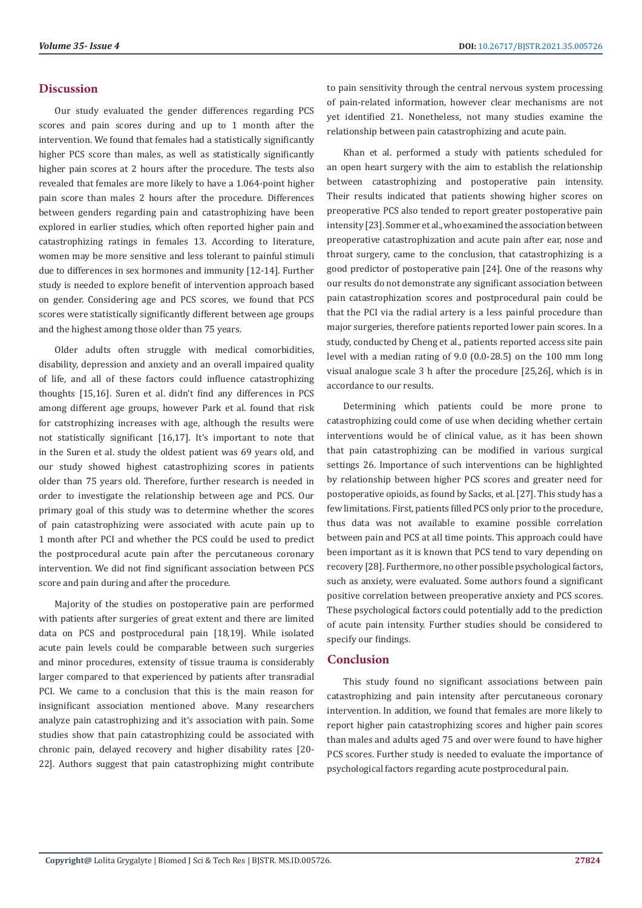### **Discussion**

Our study evaluated the gender differences regarding PCS scores and pain scores during and up to 1 month after the intervention. We found that females had a statistically significantly higher PCS score than males, as well as statistically significantly higher pain scores at 2 hours after the procedure. The tests also revealed that females are more likely to have a 1.064-point higher pain score than males 2 hours after the procedure. Differences between genders regarding pain and catastrophizing have been explored in earlier studies, which often reported higher pain and catastrophizing ratings in females 13. According to literature, women may be more sensitive and less tolerant to painful stimuli due to differences in sex hormones and immunity [12-14]. Further study is needed to explore benefit of intervention approach based on gender. Considering age and PCS scores, we found that PCS scores were statistically significantly different between age groups and the highest among those older than 75 years.

Older adults often struggle with medical comorbidities, disability, depression and anxiety and an overall impaired quality of life, and all of these factors could influence catastrophizing thoughts [15,16]. Suren et al. didn't find any differences in PCS among different age groups, however Park et al. found that risk for catstrophizing increases with age, although the results were not statistically significant [16,17]. It's important to note that in the Suren et al. study the oldest patient was 69 years old, and our study showed highest catastrophizing scores in patients older than 75 years old. Therefore, further research is needed in order to investigate the relationship between age and PCS. Our primary goal of this study was to determine whether the scores of pain catastrophizing were associated with acute pain up to 1 month after PCI and whether the PCS could be used to predict the postprocedural acute pain after the percutaneous coronary intervention. We did not find significant association between PCS score and pain during and after the procedure.

Majority of the studies on postoperative pain are performed with patients after surgeries of great extent and there are limited data on PCS and postprocedural pain [18,19]. While isolated acute pain levels could be comparable between such surgeries and minor procedures, extensity of tissue trauma is considerably larger compared to that experienced by patients after transradial PCI. We came to a conclusion that this is the main reason for insignificant association mentioned above. Many researchers analyze pain catastrophizing and it's association with pain. Some studies show that pain catastrophizing could be associated with chronic pain, delayed recovery and higher disability rates [20- 22]. Authors suggest that pain catastrophizing might contribute

to pain sensitivity through the central nervous system processing of pain-related information, however clear mechanisms are not yet identified 21. Nonetheless, not many studies examine the relationship between pain catastrophizing and acute pain.

Khan et al. performed a study with patients scheduled for an open heart surgery with the aim to establish the relationship between catastrophizing and postoperative pain intensity. Their results indicated that patients showing higher scores on preoperative PCS also tended to report greater postoperative pain intensity [23]. Sommer et al., who examined the association between preoperative catastrophization and acute pain after ear, nose and throat surgery, came to the conclusion, that catastrophizing is a good predictor of postoperative pain [24]. One of the reasons why our results do not demonstrate any significant association between pain catastrophization scores and postprocedural pain could be that the PCI via the radial artery is a less painful procedure than major surgeries, therefore patients reported lower pain scores. In a study, conducted by Cheng et al., patients reported access site pain level with a median rating of 9.0 (0.0-28.5) on the 100 mm long visual analogue scale 3 h after the procedure [25,26], which is in accordance to our results.

Determining which patients could be more prone to catastrophizing could come of use when deciding whether certain interventions would be of clinical value, as it has been shown that pain catastrophizing can be modified in various surgical settings 26. Importance of such interventions can be highlighted by relationship between higher PCS scores and greater need for postoperative opioids, as found by Sacks, et al. [27]. This study has a few limitations. First, patients filled PCS only prior to the procedure, thus data was not available to examine possible correlation between pain and PCS at all time points. This approach could have been important as it is known that PCS tend to vary depending on recovery [28]. Furthermore, no other possible psychological factors, such as anxiety, were evaluated. Some authors found a significant positive correlation between preoperative anxiety and PCS scores. These psychological factors could potentially add to the prediction of acute pain intensity. Further studies should be considered to specify our findings.

#### **Conclusion**

This study found no significant associations between pain catastrophizing and pain intensity after percutaneous coronary intervention. In addition, we found that females are more likely to report higher pain catastrophizing scores and higher pain scores than males and adults aged 75 and over were found to have higher PCS scores. Further study is needed to evaluate the importance of psychological factors regarding acute postprocedural pain.